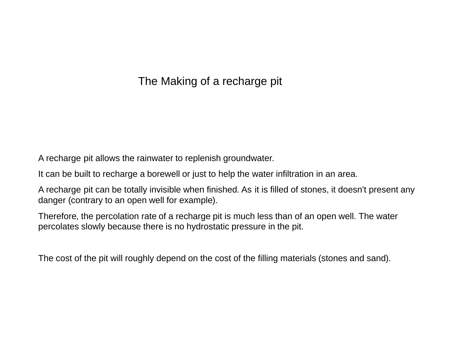## The Making of a recharge pit

A recharge pit allows the rainwater to replenish groundwater.

It can be built to recharge a borewell or just to help the water infiltration in an area.

A recharge pit can be totally invisible when finished. As it is filled of stones, it doesn't present any danger (contrary to an open well for example).

Therefore, the percolation rate of a recharge pit is much less than of an open well. The water percolates slowly because there is no hydrostatic pressure in the pit.

The cost of the pit will roughly depend on the cost of the filling materials (stones and sand).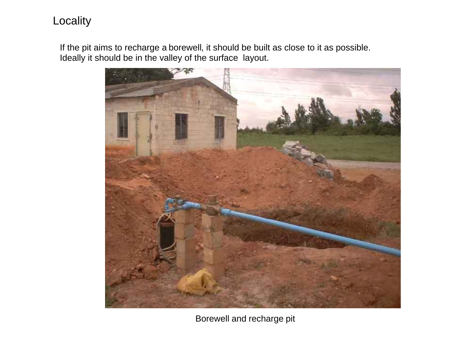## Locality

If the pit aims to recharge a borewell, it should be built as close to it as possible. Ideally it should be in the valley of the surface layout.



Borewell and recharge pit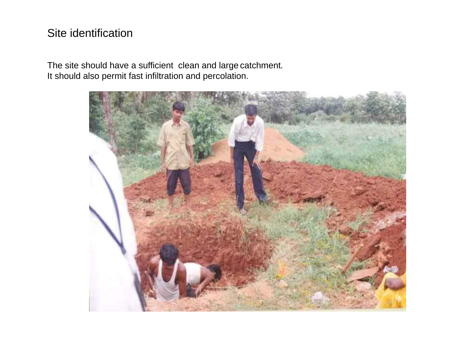# Site identification

The site should have a sufficient clean and large catchment. It should also permit fast infiltration and percolation.

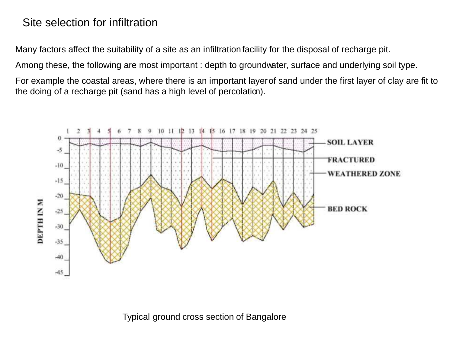#### Site selection for infiltration

Many factors affect the suitability of a site as an infiltration facility for the disposal of recharge pit.

Among these, the following are most important : depth to groundwater, surface and underlying soil type.

For example the coastal areas, where there is an important layerof sand under the first layer of clay are fit to the doing of a recharge pit (sand has a high level of percolation).



Typical ground cross section of Bangalore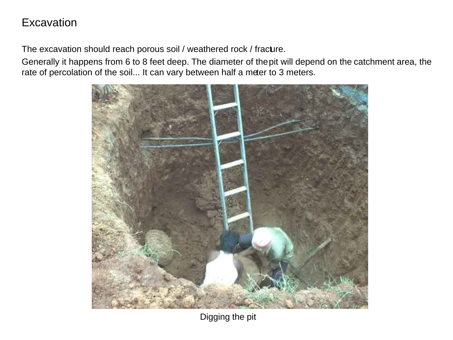### **Excavation**

The excavation should reach porous soil / weathered rock / fracture.

Generally it happens from 6 to 8 feet deep. The diameter of the pit will depend on the catchment area, the rate of percolation of the soil... It can vary between half a meter to 3 meters.



Digging the pit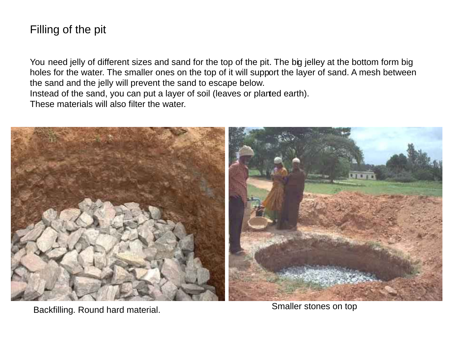# Filling of the pit

You need jelly of different sizes and sand for the top of the pit. The big jelley at the bottom form big holes for the water. The smaller ones on the top of it will support the layer of sand. A mesh between the sand and the jelly will prevent the sand to escape below. Instead of the sand, you can put a layer of soil (leaves or planted earth). These materials will also filter the water.



Backfilling. Round hard material. The state of the Smaller stones on top